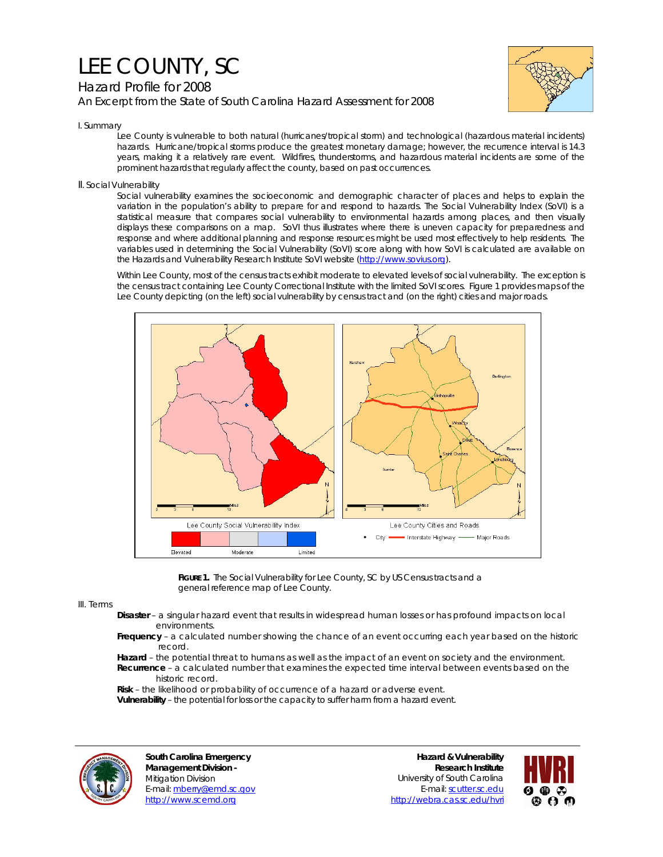## LEE COUNTY, SC

## Hazard Profile for 2008 *An Excerpt from the State of South Carolina Hazard Assessment for 2008*



I. Summary

Lee County is vulnerable to both natural (hurricanes/tropical storm) and technological (hazardous material incidents) hazards. Hurricane/tropical storms produce the greatest monetary damage; however, the recurrence interval is 14.3 years, making it a relatively rare event. Wildfires, thunderstorms, and hazardous material incidents are some of the prominent hazards that regularly affect the county, based on past occurrences.

II. Social Vulnerability

Social vulnerability examines the socioeconomic and demographic character of places and helps to explain the variation in the population's ability to prepare for and respond to hazards. The Social Vulnerability Index (SoVI) is a statistical measure that compares social vulnerability to environmental hazards among places, and then visually displays these comparisons on a map. SoVI thus illustrates where there is uneven capacity for preparedness and response and where additional planning and response resources might be used most effectively to help residents. The variables used in determining the Social Vulnerability (SoVI) score along with how SoVI is calculated are available on the Hazards and Vulnerability Research Institute SoVI website (http://www.sovius.org).

Within Lee County, most of the census tracts exhibit moderate to elevated levels of social vulnerability. The exception is the census tract containing Lee County Correctional Institute with the limited SoVI scores. Figure 1 provides maps of the Lee County depicting (on the left) social vulnerability by census tract and (on the right) cities and major roads.



FIGURE 1. The Social Vulnerability for Lee County, SC by US Census tracts and a general reference map of Lee County.

III. Terms

- **Disaster** a singular hazard event that results in widespread human losses or has profound impacts on local environments.
- **Frequency** a calculated number showing the chance of an event occurring each year based on the historic record.
- **Hazard** the potential threat to humans as well as the impact of an event on society and the environment.  **Recurrence** – a calculated number that examines the expected time interval between events based on the historic record.

 **Risk** – the likelihood or probability of occurrence of a hazard or adverse event.

 **Vulnerability** – the potential for loss or the capacity to suffer harm from a hazard event.



**South Carolina Emergency Management Division -**  Mitigation Division E-mail: mberry@emd.sc.gov http://www.scemd.org

**Hazard & Vulnerability Research Institute**  University of South Carolina E-mail: scutter.sc.edu http://webra.cas.sc.edu/hvri

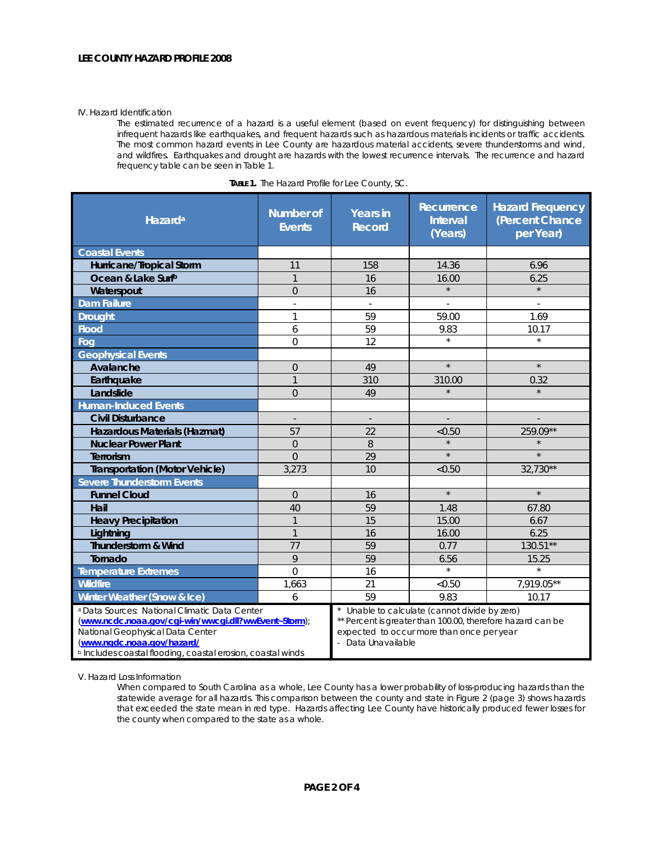## IV. Hazard Identification

The estimated recurrence of a hazard is a useful element (based on event frequency) for distinguishing between infrequent hazards like earthquakes, and frequent hazards such as hazardous materials incidents or traffic accidents. The most common hazard events in Lee County are hazardous material accidents, severe thunderstorms and wind, and wildfires. Earthquakes and drought are hazards with the lowest recurrence intervals. The recurrence and hazard frequency table can be seen in Table 1.

| <b>Hazard</b> <sup>a</sup>                                                                                                                                                                                                                                   | <b>Number of</b><br><b>Events</b> | <b>Years in</b><br><b>Record</b>                                                                                                                                             | Recurrence<br><b>Interval</b><br>(Years) | <b>Hazard Frequency</b><br>(Percent Chance<br>per Year) |
|--------------------------------------------------------------------------------------------------------------------------------------------------------------------------------------------------------------------------------------------------------------|-----------------------------------|------------------------------------------------------------------------------------------------------------------------------------------------------------------------------|------------------------------------------|---------------------------------------------------------|
| <b>Coastal Events</b>                                                                                                                                                                                                                                        |                                   |                                                                                                                                                                              |                                          |                                                         |
| Hurricane/Tropical Storm                                                                                                                                                                                                                                     | 11                                | 158                                                                                                                                                                          | 14.36                                    | 6.96                                                    |
| Ocean & Lake Surfb                                                                                                                                                                                                                                           | $\mathbf{1}$                      | 16                                                                                                                                                                           | 16.00                                    | 6.25                                                    |
| Waterspout                                                                                                                                                                                                                                                   | $\overline{0}$                    | 16                                                                                                                                                                           | $\star$                                  | $\star$                                                 |
| <b>Dam Failure</b>                                                                                                                                                                                                                                           |                                   |                                                                                                                                                                              |                                          |                                                         |
| <b>Drought</b>                                                                                                                                                                                                                                               | 1                                 | 59                                                                                                                                                                           | 59.00                                    | 1.69                                                    |
| <b>Flood</b>                                                                                                                                                                                                                                                 | 6                                 | 59                                                                                                                                                                           | 9.83                                     | 10.17                                                   |
| Fog                                                                                                                                                                                                                                                          | 0                                 | 12                                                                                                                                                                           |                                          |                                                         |
| <b>Geophysical Events</b>                                                                                                                                                                                                                                    |                                   |                                                                                                                                                                              |                                          |                                                         |
| Avalanche                                                                                                                                                                                                                                                    | $\overline{0}$                    | 49                                                                                                                                                                           | $\star$                                  | $\star$                                                 |
| Earthquake                                                                                                                                                                                                                                                   | $\mathbf{1}$                      | 310                                                                                                                                                                          | 310.00                                   | 0.32                                                    |
| Landslide                                                                                                                                                                                                                                                    | $\Omega$                          | 49                                                                                                                                                                           | $\star$                                  |                                                         |
| <b>Human-Induced Events</b>                                                                                                                                                                                                                                  |                                   |                                                                                                                                                                              |                                          |                                                         |
| <b>Civil Disturbance</b>                                                                                                                                                                                                                                     | $\sim$                            | $\overline{\phantom{a}}$                                                                                                                                                     |                                          |                                                         |
| Hazardous Materials (Hazmat)                                                                                                                                                                                                                                 | 57                                | 22                                                                                                                                                                           | < 0.50                                   | 259.09**                                                |
| <b>Nuclear Power Plant</b>                                                                                                                                                                                                                                   | $\overline{0}$                    | 8                                                                                                                                                                            | $\star$                                  |                                                         |
| Terrorism                                                                                                                                                                                                                                                    | $\Omega$                          | 29                                                                                                                                                                           | $\star$                                  | $\star$                                                 |
| <b>Transportation (Motor Vehicle)</b>                                                                                                                                                                                                                        | 3,273                             | 10                                                                                                                                                                           | < 0.50                                   | 32,730**                                                |
| <b>Severe Thunderstorm Events</b>                                                                                                                                                                                                                            |                                   |                                                                                                                                                                              |                                          |                                                         |
| <b>Funnel Cloud</b>                                                                                                                                                                                                                                          | $\Omega$                          | 16                                                                                                                                                                           | $\star$                                  | $\star$                                                 |
| Hail                                                                                                                                                                                                                                                         | 40                                | 59                                                                                                                                                                           | 1.48                                     | 67.80                                                   |
| <b>Heavy Precipitation</b>                                                                                                                                                                                                                                   | $\mathbf{1}$                      | 15                                                                                                                                                                           | 15.00                                    | 6.67                                                    |
| Lightning                                                                                                                                                                                                                                                    | $\mathbf{1}$                      | 16                                                                                                                                                                           | 16.00                                    | 6.25                                                    |
| <b>Thunderstorm &amp; Wind</b>                                                                                                                                                                                                                               | 77                                | 59                                                                                                                                                                           | 0.77                                     | 130.51**                                                |
| Tornado                                                                                                                                                                                                                                                      | 9                                 | 59                                                                                                                                                                           | 6.56                                     | 15.25                                                   |
| <b>Temperature Extremes</b>                                                                                                                                                                                                                                  | $\overline{0}$                    | 16                                                                                                                                                                           | $\star$                                  | $\star$                                                 |
| <b>Wildfire</b>                                                                                                                                                                                                                                              | 1,663                             | 21                                                                                                                                                                           | < 0.50                                   | 7,919.05**                                              |
| Winter Weather (Snow & Ice)                                                                                                                                                                                                                                  | 6                                 | 59                                                                                                                                                                           | 9.83                                     | 10.17                                                   |
| <sup>a</sup> Data Sources: National Climatic Data Center<br>(www.ncdc.noaa.gov/cgi-win/wwcgi.dll?wwEvent~Storm);<br>National Geophysical Data Center<br>(www.ngdc.noaa.gov/hazard/<br><sup>b</sup> Includes coastal flooding, coastal erosion, coastal winds |                                   | Unable to calculate (cannot divide by zero)<br>** Percent is greater than 100.00, therefore hazard can be<br>expected to occur more than once per year<br>- Data Unavailable |                                          |                                                         |

| TABLE 1. The Hazard Profile for Lee County, SC. |  |
|-------------------------------------------------|--|
|-------------------------------------------------|--|

V. Hazard Loss Information

When compared to South Carolina as a whole, Lee County has a lower probability of loss-producing hazards than the statewide average for all hazards. This comparison between the county and state in Figure 2 (page 3) shows hazards that exceeded the state mean in red type. Hazards affecting Lee County have historically produced fewer losses for the county when compared to the state as a whole.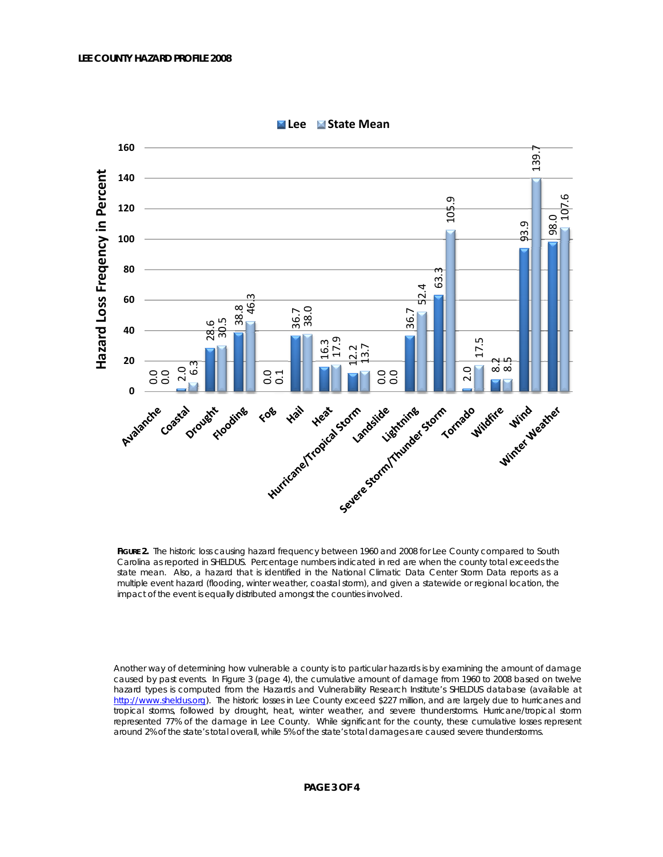

**Lee State Mean**

**FIGURE 2.** The historic loss causing hazard frequency between 1960 and 2008 for Lee County compared to South Carolina as reported in SHELDUS. Percentage numbers indicated in red are when the county total exceeds the state mean. Also, a hazard that is identified in the National Climatic Data Center Storm Data reports as a multiple event hazard (flooding, winter weather, coastal storm), and given a statewide or regional location, the impact of the event is equally distributed amongst the counties involved.

Another way of determining how vulnerable a county is to particular hazards is by examining the amount of damage caused by past events. In Figure 3 (page 4), the cumulative amount of damage from 1960 to 2008 based on twelve hazard types is computed from the Hazards and Vulnerability Research Institute's SHELDUS database (available at http://www.sheldus.org). The historic losses in Lee County exceed \$227 million, and are largely due to hurricanes and tropical storms, followed by drought, heat, winter weather, and severe thunderstorms. Hurricane/tropical storm represented 77% of the damage in Lee County. While significant for the county, these cumulative losses represent around 2% of the state's total overall, while 5% of the state's total damages are caused severe thunderstorms.